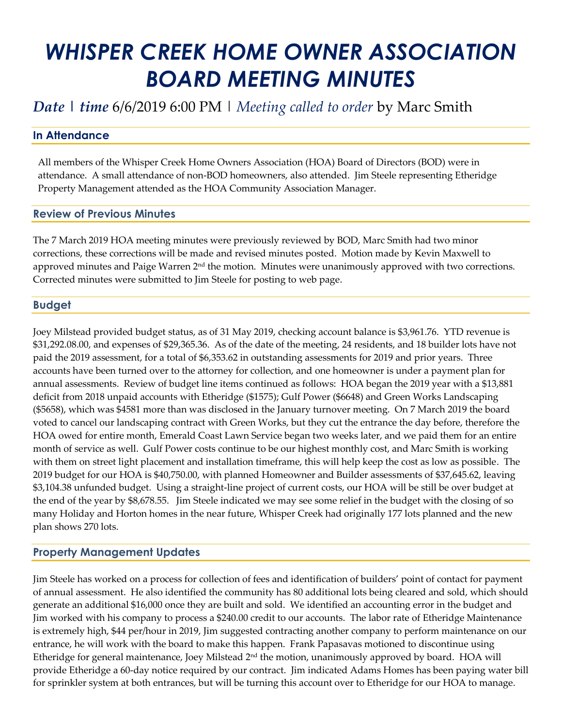# *WHISPER CREEK HOME OWNER ASSOCIATION BOARD MEETING MINUTES*

## *Date | time* 6/6/2019 6:00 PM | *Meeting called to order* by Marc Smith

### **In Attendance**

All members of the Whisper Creek Home Owners Association (HOA) Board of Directors (BOD) were in attendance. A small attendance of non-BOD homeowners, also attended. Jim Steele representing Etheridge Property Management attended as the HOA Community Association Manager.

#### **Review of Previous Minutes**

The 7 March 2019 HOA meeting minutes were previously reviewed by BOD, Marc Smith had two minor corrections, these corrections will be made and revised minutes posted. Motion made by Kevin Maxwell to approved minutes and Paige Warren  $2<sup>nd</sup>$  the motion. Minutes were unanimously approved with two corrections. Corrected minutes were submitted to Jim Steele for posting to web page.

#### **Budget**

Joey Milstead provided budget status, as of 31 May 2019, checking account balance is \$3,961.76. YTD revenue is \$31,292.08.00, and expenses of \$29,365.36. As of the date of the meeting, 24 residents, and 18 builder lots have not paid the 2019 assessment, for a total of \$6,353.62 in outstanding assessments for 2019 and prior years. Three accounts have been turned over to the attorney for collection, and one homeowner is under a payment plan for annual assessments. Review of budget line items continued as follows: HOA began the 2019 year with a \$13,881 deficit from 2018 unpaid accounts with Etheridge (\$1575); Gulf Power (\$6648) and Green Works Landscaping (\$5658), which was \$4581 more than was disclosed in the January turnover meeting. On 7 March 2019 the board voted to cancel our landscaping contract with Green Works, but they cut the entrance the day before, therefore the HOA owed for entire month, Emerald Coast Lawn Service began two weeks later, and we paid them for an entire month of service as well. Gulf Power costs continue to be our highest monthly cost, and Marc Smith is working with them on street light placement and installation timeframe, this will help keep the cost as low as possible. The 2019 budget for our HOA is \$40,750.00, with planned Homeowner and Builder assessments of \$37,645.62, leaving \$3,104.38 unfunded budget. Using a straight-line project of current costs, our HOA will be still be over budget at the end of the year by \$8,678.55. Jim Steele indicated we may see some relief in the budget with the closing of so many Holiday and Horton homes in the near future, Whisper Creek had originally 177 lots planned and the new plan shows 270 lots.

#### **Property Management Updates**

Jim Steele has worked on a process for collection of fees and identification of builders' point of contact for payment of annual assessment. He also identified the community has 80 additional lots being cleared and sold, which should generate an additional \$16,000 once they are built and sold. We identified an accounting error in the budget and Jim worked with his company to process a \$240.00 credit to our accounts. The labor rate of Etheridge Maintenance is extremely high, \$44 per/hour in 2019, Jim suggested contracting another company to perform maintenance on our entrance, he will work with the board to make this happen. Frank Papasavas motioned to discontinue using Etheridge for general maintenance, Joey Milstead  $2<sup>nd</sup>$  the motion, unanimously approved by board. HOA will provide Etheridge a 60-day notice required by our contract. Jim indicated Adams Homes has been paying water bill for sprinkler system at both entrances, but will be turning this account over to Etheridge for our HOA to manage.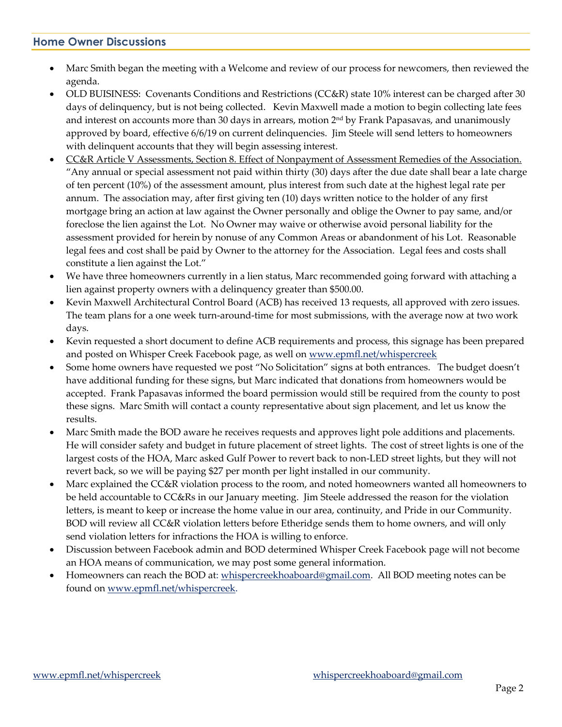#### **Home Owner Discussions**

- Marc Smith began the meeting with a Welcome and review of our process for newcomers, then reviewed the agenda.
- OLD BUISINESS: Covenants Conditions and Restrictions (CC&R) state 10% interest can be charged after 30 days of delinquency, but is not being collected. Kevin Maxwell made a motion to begin collecting late fees and interest on accounts more than 30 days in arrears, motion  $2<sup>nd</sup>$  by Frank Papasavas, and unanimously approved by board, effective 6/6/19 on current delinquencies. Jim Steele will send letters to homeowners with delinquent accounts that they will begin assessing interest.
- CC&R Article V Assessments, Section 8. Effect of Nonpayment of Assessment Remedies of the Association. "Any annual or special assessment not paid within thirty (30) days after the due date shall bear a late charge of ten percent (10%) of the assessment amount, plus interest from such date at the highest legal rate per annum. The association may, after first giving ten (10) days written notice to the holder of any first mortgage bring an action at law against the Owner personally and oblige the Owner to pay same, and/or foreclose the lien against the Lot. No Owner may waive or otherwise avoid personal liability for the assessment provided for herein by nonuse of any Common Areas or abandonment of his Lot. Reasonable legal fees and cost shall be paid by Owner to the attorney for the Association. Legal fees and costs shall constitute a lien against the Lot."
- We have three homeowners currently in a lien status, Marc recommended going forward with attaching a lien against property owners with a delinquency greater than \$500.00.
- Kevin Maxwell Architectural Control Board (ACB) has received 13 requests, all approved with zero issues. The team plans for a one week turn-around-time for most submissions, with the average now at two work days.
- Kevin requested a short document to define ACB requirements and process, this signage has been prepared and posted on Whisper Creek Facebook page, as well o[n www.epmfl.net/whispercreek](http://www.epmfl.net/whispercreek)
- Some home owners have requested we post "No Solicitation" signs at both entrances. The budget doesn't have additional funding for these signs, but Marc indicated that donations from homeowners would be accepted. Frank Papasavas informed the board permission would still be required from the county to post these signs. Marc Smith will contact a county representative about sign placement, and let us know the results.
- Marc Smith made the BOD aware he receives requests and approves light pole additions and placements. He will consider safety and budget in future placement of street lights. The cost of street lights is one of the largest costs of the HOA, Marc asked Gulf Power to revert back to non-LED street lights, but they will not revert back, so we will be paying \$27 per month per light installed in our community.
- Marc explained the CC&R violation process to the room, and noted homeowners wanted all homeowners to be held accountable to CC&Rs in our January meeting. Jim Steele addressed the reason for the violation letters, is meant to keep or increase the home value in our area, continuity, and Pride in our Community. BOD will review all CC&R violation letters before Etheridge sends them to home owners, and will only send violation letters for infractions the HOA is willing to enforce.
- Discussion between Facebook admin and BOD determined Whisper Creek Facebook page will not become an HOA means of communication, we may post some general information.
- Homeowners can reach the BOD at[: whispercreekhoaboard@gmail.com.](mailto:whispercreekhoaboard@gmail.com) All BOD meeting notes can be found on [www.epmfl.net/whispercreek.](http://www.epmfl.net/whispercreek)